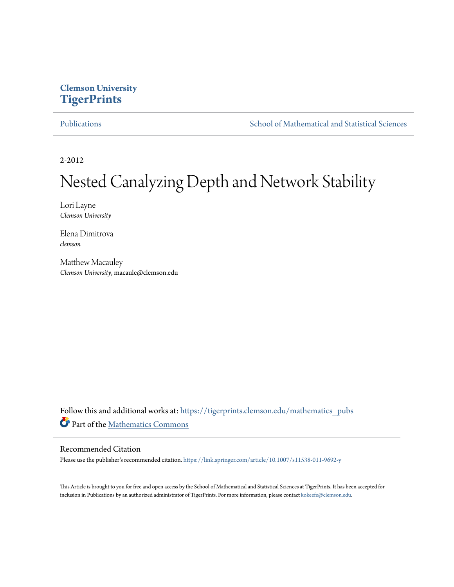#### **Clemson University [TigerPrints](https://tigerprints.clemson.edu?utm_source=tigerprints.clemson.edu%2Fmathematics_pubs%2F11&utm_medium=PDF&utm_campaign=PDFCoverPages)**

[Publications](https://tigerprints.clemson.edu/mathematics_pubs?utm_source=tigerprints.clemson.edu%2Fmathematics_pubs%2F11&utm_medium=PDF&utm_campaign=PDFCoverPages) [School of Mathematical and Statistical Sciences](https://tigerprints.clemson.edu/mathematics?utm_source=tigerprints.clemson.edu%2Fmathematics_pubs%2F11&utm_medium=PDF&utm_campaign=PDFCoverPages)

2-2012

# Nested Canalyzing Depth and Network Stability

Lori Layne *Clemson University*

Elena Dimitrova *clemson*

Matthew Macauley *Clemson University*, macaule@clemson.edu

Follow this and additional works at: [https://tigerprints.clemson.edu/mathematics\\_pubs](https://tigerprints.clemson.edu/mathematics_pubs?utm_source=tigerprints.clemson.edu%2Fmathematics_pubs%2F11&utm_medium=PDF&utm_campaign=PDFCoverPages) Part of the [Mathematics Commons](http://network.bepress.com/hgg/discipline/174?utm_source=tigerprints.clemson.edu%2Fmathematics_pubs%2F11&utm_medium=PDF&utm_campaign=PDFCoverPages)

#### Recommended Citation

Please use the publisher's recommended citation. <https://link.springer.com/article/10.1007/s11538-011-9692-y>

This Article is brought to you for free and open access by the School of Mathematical and Statistical Sciences at TigerPrints. It has been accepted for inclusion in Publications by an authorized administrator of TigerPrints. For more information, please contact [kokeefe@clemson.edu.](mailto:kokeefe@clemson.edu)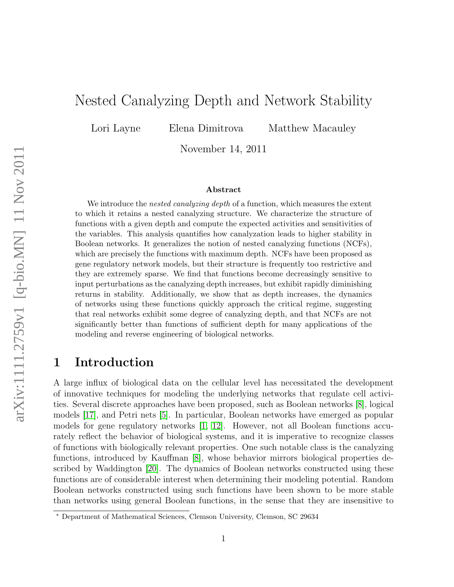# Nested Canalyzing Depth and Network Stability

Lori Layne Elena Dimitrova Matthew Macauley

November 14, 2011

#### Abstract

We introduce the *nested canalyzing depth* of a function, which measures the extent to which it retains a nested canalyzing structure. We characterize the structure of functions with a given depth and compute the expected activities and sensitivities of the variables. This analysis quantifies how canalyzation leads to higher stability in Boolean networks. It generalizes the notion of nested canalyzing functions (NCFs), which are precisely the functions with maximum depth. NCFs have been proposed as gene regulatory network models, but their structure is frequently too restrictive and they are extremely sparse. We find that functions become decreasingly sensitive to input perturbations as the canalyzing depth increases, but exhibit rapidly diminishing returns in stability. Additionally, we show that as depth increases, the dynamics of networks using these functions quickly approach the critical regime, suggesting that real networks exhibit some degree of canalyzing depth, and that NCFs are not significantly better than functions of sufficient depth for many applications of the modeling and reverse engineering of biological networks.

#### 1 Introduction

A large influx of biological data on the cellular level has necessitated the development of innovative techniques for modeling the underlying networks that regulate cell activities. Several discrete approaches have been proposed, such as Boolean networks [\[8\]](#page-12-0), logical models [\[17\]](#page-12-1), and Petri nets [\[5\]](#page-12-2). In particular, Boolean networks have emerged as popular models for gene regulatory networks [\[1,](#page-11-0) [12\]](#page-12-3). However, not all Boolean functions accurately reflect the behavior of biological systems, and it is imperative to recognize classes of functions with biologically relevant properties. One such notable class is the canalyzing functions, introduced by Kauffman [\[8\]](#page-12-0), whose behavior mirrors biological properties described by Waddington [\[20\]](#page-13-0). The dynamics of Boolean networks constructed using these functions are of considerable interest when determining their modeling potential. Random Boolean networks constructed using such functions have been shown to be more stable than networks using general Boolean functions, in the sense that they are insensitive to

<sup>∗</sup> Department of Mathematical Sciences, Clemson University, Clemson, SC 29634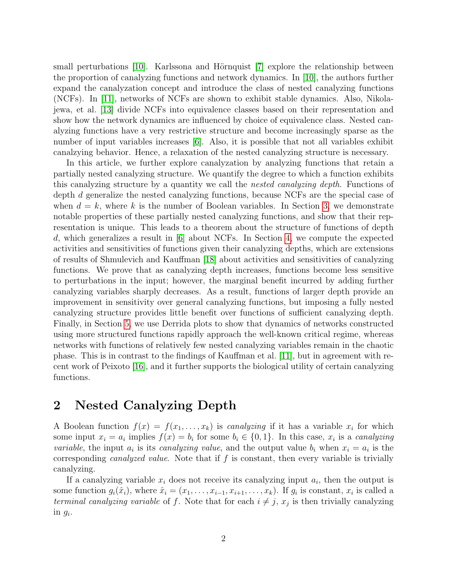small perturbations  $[10]$ . Karlssona and Hörnquist  $[7]$  explore the relationship between the proportion of canalyzing functions and network dynamics. In [\[10\]](#page-12-4), the authors further expand the canalyzation concept and introduce the class of nested canalyzing functions (NCFs). In [\[11\]](#page-12-6), networks of NCFs are shown to exhibit stable dynamics. Also, Nikolajewa, et al. [\[13\]](#page-12-7) divide NCFs into equivalence classes based on their representation and show how the network dynamics are influenced by choice of equivalence class. Nested canalyzing functions have a very restrictive structure and become increasingly sparse as the number of input variables increases [\[6\]](#page-12-8). Also, it is possible that not all variables exhibit canalzying behavior. Hence, a relaxation of the nested canalyzing structure is necessary.

In this article, we further explore canalyzation by analyzing functions that retain a partially nested canalyzing structure. We quantify the degree to which a function exhibits this canalyzing structure by a quantity we call the nested canalyzing depth. Functions of depth d generalize the nested canalyzing functions, because NCFs are the special case of when  $d = k$ , where k is the number of Boolean variables. In Section [3,](#page-4-0) we demonstrate notable properties of these partially nested canalyzing functions, and show that their representation is unique. This leads to a theorem about the structure of functions of depth d, which generalizes a result in [\[6\]](#page-12-8) about NCFs. In Section [4,](#page-6-0) we compute the expected activities and sensitivities of functions given their canalyzing depths, which are extensions of results of Shmulevich and Kauffman [\[18\]](#page-13-1) about activities and sensitivities of canalyzing functions. We prove that as canalyzing depth increases, functions become less sensitive to perturbations in the input; however, the marginal benefit incurred by adding further canalyzing variables sharply decreases. As a result, functions of larger depth provide an improvement in sensitivity over general canalyzing functions, but imposing a fully nested canalyzing structure provides little benefit over functions of sufficient canalyzing depth. Finally, in Section [5,](#page-9-0) we use Derrida plots to show that dynamics of networks constructed using more structured functions rapidly approach the well-known critical regime, whereas networks with functions of relatively few nested canalyzing variables remain in the chaotic phase. This is in contrast to the findings of Kauffman et al. [\[11\]](#page-12-6), but in agreement with recent work of Peixoto [\[16\]](#page-12-9), and it further supports the biological utility of certain canalyzing functions.

# 2 Nested Canalyzing Depth

A Boolean function  $f(x) = f(x_1, \ldots, x_k)$  is canalyzing if it has a variable  $x_i$  for which some input  $x_i = a_i$  implies  $f(x) = b_i$  for some  $b_i \in \{0, 1\}$ . In this case,  $x_i$  is a *canalyzing variable*, the input  $a_i$  is its *canalyzing value*, and the output value  $b_i$  when  $x_i = a_i$  is the corresponding *canalyzed value*. Note that if  $f$  is constant, then every variable is trivially canalyzing.

If a canalyzing variable  $x_i$  does not receive its canalyzing input  $a_i$ , then the output is some function  $g_i(\hat{x}_i)$ , where  $\hat{x}_i = (x_1, \ldots, x_{i-1}, x_{i+1}, \ldots, x_k)$ . If  $g_i$  is constant,  $x_i$  is called a terminal canalyzing variable of f. Note that for each  $i \neq j$ ,  $x_j$  is then trivially canalyzing in  $g_i$ .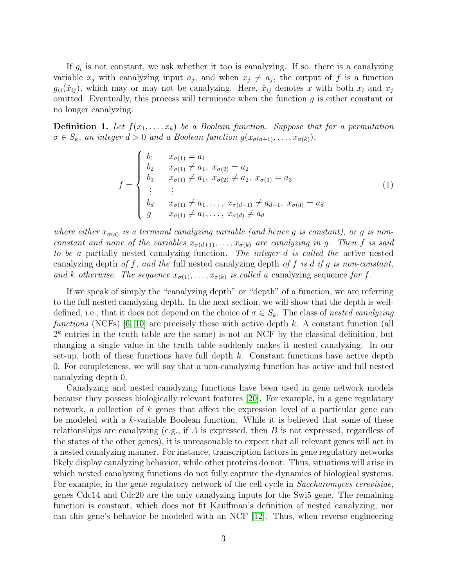If  $g_i$  is not constant, we ask whether it too is canalyzing. If so, there is a canalyzing variable  $x_j$  with canalyzing input  $a_j$ , and when  $x_j \neq a_j$ , the output of f is a function  $g_{ij}(\hat{x}_{ij})$ , which may or may not be canalyzing. Here,  $\hat{x}_{ij}$  denotes x with both  $x_i$  and  $x_j$ omitted. Eventually, this process will terminate when the function  $g$  is either constant or no longer canalyzing.

**Definition 1.** Let  $f(x_1, \ldots, x_k)$  be a Boolean function. Suppose that for a permutation  $\sigma \in S_k$ , an integer  $d > 0$  and a Boolean function  $g(x_{\sigma(d+1)},...,x_{\sigma(k)})$ ,

<span id="page-3-0"></span>
$$
f = \begin{cases} b_1 & x_{\sigma(1)} = a_1 \\ b_2 & x_{\sigma(1)} \neq a_1, x_{\sigma(2)} = a_2 \\ b_3 & x_{\sigma(1)} \neq a_1, x_{\sigma(2)} \neq a_2, x_{\sigma(3)} = a_3 \\ \vdots & \vdots \\ b_d & x_{\sigma(1)} \neq a_1, \dots, x_{\sigma(d-1)} \neq a_{d-1}, x_{\sigma(d)} = a_d \\ g & x_{\sigma(1)} \neq a_1, \dots, x_{\sigma(d)} \neq a_d \end{cases}
$$
(1)

where either  $x_{\sigma(d)}$  is a terminal canalyzing variable (and hence g is constant), or g is nonconstant and none of the variables  $x_{\sigma(d+1)}, \ldots, x_{\sigma(k)}$  are canalyzing in g. Then f is said to be a partially nested canalyzing function. The integer d is called the active nested canalyzing depth of f, and the full nested canalyzing depth of f is d if g is non-constant, and k otherwise. The sequence  $x_{\sigma(1)}, \ldots, x_{\sigma(k)}$  is called a canalyzing sequence for f.

If we speak of simply the "canalyzing depth" or "depth" of a function, we are referring to the full nested canalyzing depth. In the next section, we will show that the depth is welldefined, i.e., that it does not depend on the choice of  $\sigma \in S_k$ . The class of nested canalyzing functions (NCFs) [\[6,](#page-12-8) [10\]](#page-12-4) are precisely those with active depth  $k$ . A constant function (all  $2<sup>k</sup>$  entries in the truth table are the same) is not an NCF by the classical definition, but changing a single value in the truth table suddenly makes it nested canalyzing. In our set-up, both of these functions have full depth  $k$ . Constant functions have active depth 0. For completeness, we will say that a non-canalyzing function has active and full nested canalyzing depth 0.

Canalyzing and nested canalyzing functions have been used in gene network models because they possess biologically relevant features [\[20\]](#page-13-0). For example, in a gene regulatory network, a collection of k genes that affect the expression level of a particular gene can be modeled with a k-variable Boolean function. While it is believed that some of these relationships are canalyzing (e.g., if A is expressed, then B is not expressed, regardless of the states of the other genes), it is unreasonable to expect that all relevant genes will act in a nested canalyzing manner. For instance, transcription factors in gene regulatory networks likely display canalyzing behavior, while other proteins do not. Thus, situations will arise in which nested canalyzing functions do not fully capture the dynamics of biological systems. For example, in the gene regulatory network of the cell cycle in *Saccharomyces cerevisiae*, genes Cdc14 and Cdc20 are the only canalyzing inputs for the Swi5 gene. The remaining function is constant, which does not fit Kauffman's definition of nested canalyzing, nor can this gene's behavior be modeled with an NCF [\[12\]](#page-12-3). Thus, when reverse engineering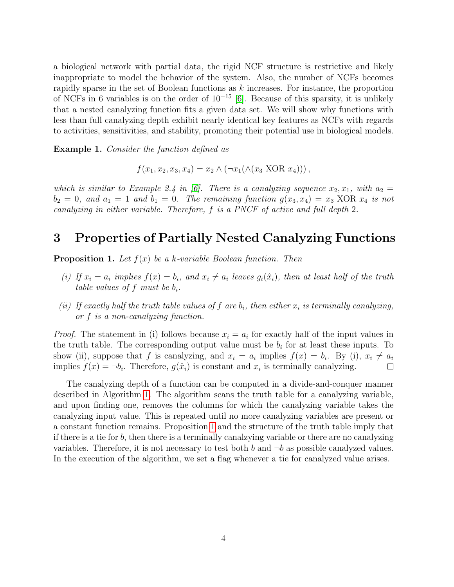a biological network with partial data, the rigid NCF structure is restrictive and likely inappropriate to model the behavior of the system. Also, the number of NCFs becomes rapidly sparse in the set of Boolean functions as k increases. For instance, the proportion of NCFs in 6 variables is on the order of  $10^{-15}$  [\[6\]](#page-12-8). Because of this sparsity, it is unlikely that a nested canalyzing function fits a given data set. We will show why functions with less than full canalyzing depth exhibit nearly identical key features as NCFs with regards to activities, sensitivities, and stability, promoting their potential use in biological models.

Example 1. Consider the function defined as

$$
f(x_1, x_2, x_3, x_4) = x_2 \wedge (\neg x_1(\wedge (x_3 \text{ XOR } x_4))),
$$

which is similar to Example 2.4 in [\[6\]](#page-12-8). There is a canalyzing sequence  $x_2, x_1$ , with  $a_2 =$  $b_2 = 0$ , and  $a_1 = 1$  and  $b_1 = 0$ . The remaining function  $g(x_3, x_4) = x_3$  XOR  $x_4$  is not canalyzing in either variable. Therefore, f is a PNCF of active and full depth 2.

### <span id="page-4-0"></span>3 Properties of Partially Nested Canalyzing Functions

<span id="page-4-1"></span>**Proposition 1.** Let  $f(x)$  be a k-variable Boolean function. Then

- (i) If  $x_i = a_i$  implies  $f(x) = b_i$ , and  $x_i \neq a_i$  leaves  $g_i(\hat{x}_i)$ , then at least half of the truth table values of f must be  $b_i$ .
- (ii) If exactly half the truth table values of f are  $b_i$ , then either  $x_i$  is terminally canalyzing, or f is a non-canalyzing function.

*Proof.* The statement in (i) follows because  $x_i = a_i$  for exactly half of the input values in the truth table. The corresponding output value must be  $b_i$  for at least these inputs. To show (ii), suppose that f is canalyzing, and  $x_i = a_i$  implies  $f(x) = b_i$ . By (i),  $x_i \neq a_i$ implies  $f(x) = \neg b_i$ . Therefore,  $g(\hat{x}_i)$  is constant and  $x_i$  is terminally canalyzing.  $\Box$ 

The canalyzing depth of a function can be computed in a divide-and-conquer manner described in Algorithm [1.](#page-5-0) The algorithm scans the truth table for a canalyzing variable, and upon finding one, removes the columns for which the canalyzing variable takes the canalyzing input value. This is repeated until no more canalyzing variables are present or a constant function remains. Proposition [1](#page-4-1) and the structure of the truth table imply that if there is a tie for b, then there is a terminally canalzying variable or there are no canalyzing variables. Therefore, it is not necessary to test both b and  $\neg b$  as possible canalyzed values. In the execution of the algorithm, we set a flag whenever a tie for canalyzed value arises.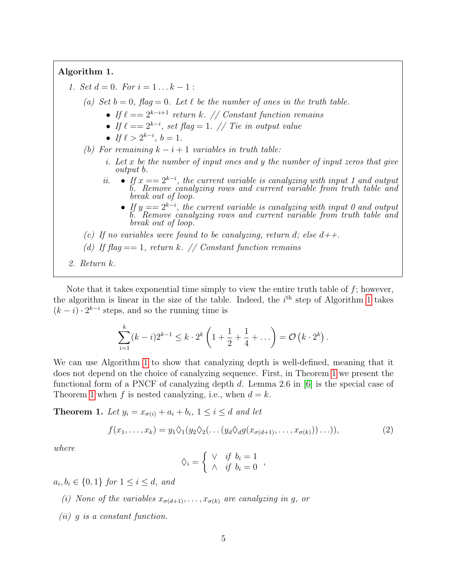#### <span id="page-5-0"></span>Algorithm 1.

- 1. Set  $d = 0$ . For  $i = 1 \dots k 1$ :
	- (a) Set  $b = 0$ , flag = 0. Let  $\ell$  be the number of ones in the truth table.
		- If  $\ell = 2^{k-i+1}$  return k. // Constant function remains
		- If  $\ell = 2^{k-i}$ , set flag = 1. // Tie in output value
		- If  $\ell > 2^{k-i}$ ,  $b = 1$ .
	- (b) For remaining  $k i + 1$  variables in truth table:
		- i. Let  $x$  be the number of input ones and  $y$  the number of input zeros that give output b.
		- *ii.* If  $x == 2^{k-i}$ , the current variable is canalyzing with input 1 and output b. Remove canalyzing rows and current variable from truth table and break out of loop.
			- If  $y == 2^{k-i}$ , the current variable is canalyzing with input 0 and output b. Remove canalyzing rows and current variable from truth table and break out of loop.
	- (c) If no variables were found to be canalyzing, return d; else  $d++$ .
	- (d) If  $f{h}aq == 1$ , return k. // Constant function remains
- 2. Return k.

Note that it takes exponential time simply to view the entire truth table of  $f$ ; however, the algorithm is linear in the size of the table. Indeed, the  $i<sup>th</sup>$  step of Algorithm [1](#page-5-0) takes  $(k - i) \cdot 2^{k - i}$  steps, and so the running time is

$$
\sum_{i=1}^{k} (k-i)2^{k-1} \leq k \cdot 2^{k} \left(1 + \frac{1}{2} + \frac{1}{4} + \dots \right) = \mathcal{O} \left(k \cdot 2^{k}\right).
$$

We can use Algorithm [1](#page-5-0) to show that canalyzing depth is well-defined, meaning that it does not depend on the choice of canalyzing sequence. First, in Theorem [1](#page-5-1) we present the functional form of a PNCF of canalyzing depth d. Lemma 2.6 in [\[6\]](#page-12-8) is the special case of Theorem [1](#page-5-1) when f is nested canalyzing, i.e., when  $d = k$ .

<span id="page-5-1"></span>**Theorem 1.** Let  $y_i = x_{\sigma(i)} + a_i + b_i$ ,  $1 \leq i \leq d$  and let

$$
f(x_1,\ldots,x_k) = y_1 \Diamond_1 (y_2 \Diamond_2 (\ldots (y_d \Diamond_d g(x_{\sigma(d+1)},\ldots,x_{\sigma(k)}))\ldots)),
$$
\n(2)

where

$$
\Diamond_i = \left\{ \begin{array}{ll} \lor & if \ b_i = 1 \\ \land & if \ b_i = 0 \end{array} \right.,
$$

 $a_i, b_i \in \{0, 1\} \text{ for } 1 \leq i \leq d, \text{ and}$ 

- (i) None of the variables  $x_{\sigma(d+1)}, \ldots, x_{\sigma(k)}$  are canalyzing in g, or
- (ii) g is a constant function.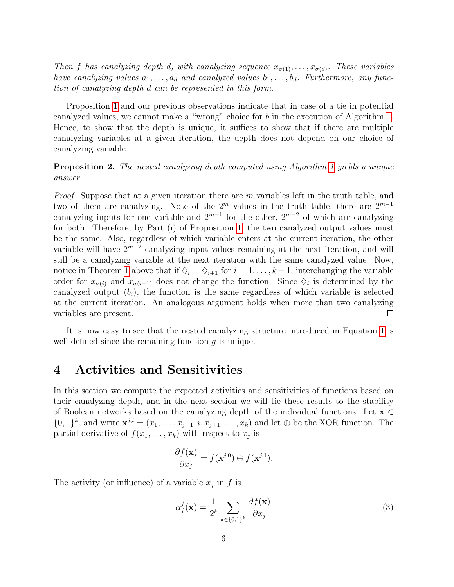Then f has canalyzing depth d, with canalyzing sequence  $x_{\sigma(1)}, \ldots, x_{\sigma(d)}$ . These variables have canalyzing values  $a_1, \ldots, a_d$  and canalyzed values  $b_1, \ldots, b_d$ . Furthermore, any function of canalyzing depth d can be represented in this form.

Proposition [1](#page-4-1) and our previous observations indicate that in case of a tie in potential canalyzed values, we cannot make a "wrong" choice for b in the execution of Algorithm [1.](#page-5-0) Hence, to show that the depth is unique, it suffices to show that if there are multiple canalyzing variables at a given iteration, the depth does not depend on our choice of canalyzing variable.

Proposition 2. The nested canalyzing depth computed using Algorithm [1](#page-5-0) yields a unique answer.

*Proof.* Suppose that at a given iteration there are m variables left in the truth table, and two of them are canalyzing. Note of the  $2^m$  values in the truth table, there are  $2^{m-1}$ canalyzing inputs for one variable and  $2^{m-1}$  for the other,  $2^{m-2}$  of which are canalyzing for both. Therefore, by Part (i) of Proposition [1,](#page-4-1) the two canalyzed output values must be the same. Also, regardless of which variable enters at the current iteration, the other variable will have  $2^{m-2}$  canalyzing input values remaining at the next iteration, and will still be a canalyzing variable at the next iteration with the same canalyzed value. Now, notice in Theorem [1](#page-5-1) above that if  $\Diamond_i = \Diamond_{i+1}$  for  $i = 1, \ldots, k-1$ , interchanging the variable order for  $x_{\sigma(i)}$  and  $x_{\sigma(i+1)}$  does not change the function. Since  $\Diamond_i$  is determined by the canalyzed output  $(b_i)$ , the function is the same regardless of which variable is selected at the current iteration. An analogous argument holds when more than two canalyzing variables are present.  $\Box$ 

It is now easy to see that the nested canalyzing structure introduced in Equation [1](#page-3-0) is well-defined since the remaining function  $q$  is unique.

#### <span id="page-6-0"></span>4 Activities and Sensitivities

In this section we compute the expected activities and sensitivities of functions based on their canalyzing depth, and in the next section we will tie these results to the stability of Boolean networks based on the canalyzing depth of the individual functions. Let  $\mathbf{x} \in$  $\{0,1\}^k$ , and write  $\mathbf{x}^{j,i} = (x_1,\ldots,x_{j-1},i,x_{j+1},\ldots,x_k)$  and let  $\oplus$  be the XOR function. The partial derivative of  $f(x_1, \ldots, x_k)$  with respect to  $x_j$  is

$$
\frac{\partial f(\mathbf{x})}{\partial x_j} = f(\mathbf{x}^{j,0}) \oplus f(\mathbf{x}^{j,1}).
$$

The activity (or influence) of a variable  $x_j$  in f is

$$
\alpha_j^f(\mathbf{x}) = \frac{1}{2^k} \sum_{\mathbf{x} \in \{0,1\}^k} \frac{\partial f(\mathbf{x})}{\partial x_j} \tag{3}
$$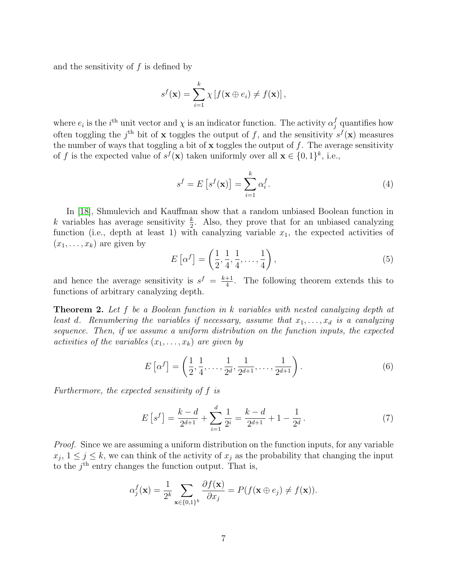and the sensitivity of f is defined by

$$
s^{f}(\mathbf{x}) = \sum_{i=1}^{k} \chi \left[ f(\mathbf{x} \oplus e_{i}) \neq f(\mathbf{x}) \right],
$$

where  $e_i$  is the *i*<sup>th</sup> unit vector and  $\chi$  is an indicator function. The activity  $\alpha_j^f$  quantifies how often toggling the j<sup>th</sup> bit of **x** toggles the output of f, and the sensitivity  $s^f(\mathbf{x})$  measures the number of ways that toggling a bit of  $x$  toggles the output of  $f$ . The average sensitivity of f is the expected value of  $s^f(\mathbf{x})$  taken uniformly over all  $\mathbf{x} \in \{0,1\}^k$ , i.e.,

<span id="page-7-1"></span>
$$
s^{f} = E\left[s^{f}(\mathbf{x})\right] = \sum_{i=1}^{k} \alpha_{i}^{f}.
$$
\n(4)

In [\[18\]](#page-13-1), Shmulevich and Kauffman show that a random unbiased Boolean function in k variables has average sensitivity  $\frac{k}{2}$ . Also, they prove that for an unbiased canalyzing function (i.e., depth at least 1) with canalyzing variable  $x_1$ , the expected activities of  $(x_1, \ldots, x_k)$  are given by

<span id="page-7-2"></span>
$$
E\left[\alpha^f\right] = \left(\frac{1}{2}, \frac{1}{4}, \frac{1}{4}, \dots, \frac{1}{4}\right),\tag{5}
$$

and hence the average sensitivity is  $s^f = \frac{k+1}{4}$  $\frac{+1}{4}$ . The following theorem extends this to functions of arbitrary canalyzing depth.

<span id="page-7-3"></span>Theorem 2. Let f be a Boolean function in k variables with nested canalyzing depth at least d. Renumbering the variables if necessary, assume that  $x_1, \ldots, x_d$  is a canalyzing sequence. Then, if we assume a uniform distribution on the function inputs, the expected activities of the variables  $(x_1, \ldots, x_k)$  are given by

$$
E\left[\alpha^f\right] = \left(\frac{1}{2}, \frac{1}{4}, \dots, \frac{1}{2^d}, \frac{1}{2^{d+1}}, \dots, \frac{1}{2^{d+1}}\right). \tag{6}
$$

Furthermore, the expected sensitivity of f is

<span id="page-7-0"></span>
$$
E\left[s^f\right] = \frac{k-d}{2^{d+1}} + \sum_{i=1}^d \frac{1}{2^i} = \frac{k-d}{2^{d+1}} + 1 - \frac{1}{2^d} \,. \tag{7}
$$

Proof. Since we are assuming a uniform distribution on the function inputs, for any variable  $x_j$ ,  $1 \leq j \leq k$ , we can think of the activity of  $x_j$  as the probability that changing the input to the  $j<sup>th</sup>$  entry changes the function output. That is,

$$
\alpha_j^f(\mathbf{x}) = \frac{1}{2^k} \sum_{\mathbf{x} \in \{0,1\}^k} \frac{\partial f(\mathbf{x})}{\partial x_j} = P(f(\mathbf{x} \oplus e_j) \neq f(\mathbf{x})).
$$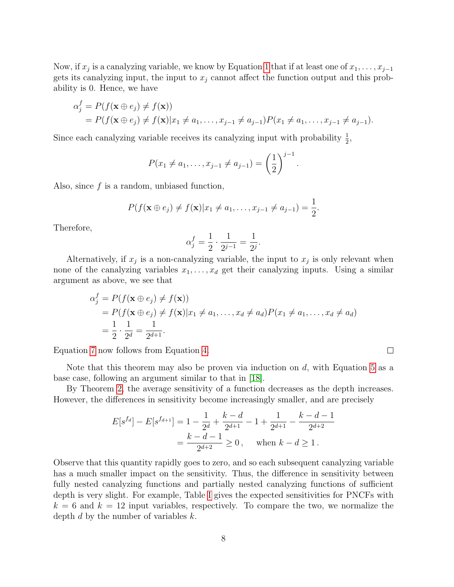Now, if  $x_j$  is a canalyzing variable, we know by Equation [1](#page-3-0) that if at least one of  $x_1, \ldots, x_{j-1}$ gets its canalyzing input, the input to  $x_j$  cannot affect the function output and this probability is 0. Hence, we have

$$
\alpha_j^f = P(f(\mathbf{x} \oplus e_j) \neq f(\mathbf{x})) \n= P(f(\mathbf{x} \oplus e_j) \neq f(\mathbf{x}) | x_1 \neq a_1, \dots, x_{j-1} \neq a_{j-1}) P(x_1 \neq a_1, \dots, x_{j-1} \neq a_{j-1}).
$$

Since each canalyzing variable receives its canalyzing input with probability  $\frac{1}{2}$ ,

$$
P(x_1 \neq a_1, \ldots, x_{j-1} \neq a_{j-1}) = \left(\frac{1}{2}\right)^{j-1}.
$$

Also, since  $f$  is a random, unbiased function,

$$
P(f(\mathbf{x} \oplus e_j) \neq f(\mathbf{x}) | x_1 \neq a_1, \ldots, x_{j-1} \neq a_{j-1}) = \frac{1}{2}.
$$

Therefore,

$$
\alpha_j^f = \frac{1}{2} \cdot \frac{1}{2^{j-1}} = \frac{1}{2^j}.
$$

Alternatively, if  $x_j$  is a non-canalyzing variable, the input to  $x_j$  is only relevant when none of the canalyzing variables  $x_1, \ldots, x_d$  get their canalyzing inputs. Using a similar argument as above, we see that

$$
\alpha_j^f = P(f(\mathbf{x} \oplus e_j) \neq f(\mathbf{x})) \n= P(f(\mathbf{x} \oplus e_j) \neq f(\mathbf{x}) | x_1 \neq a_1, \dots, x_d \neq a_d) P(x_1 \neq a_1, \dots, x_d \neq a_d) \n= \frac{1}{2} \cdot \frac{1}{2^d} = \frac{1}{2^{d+1}}.
$$

Equation [7](#page-7-0) now follows from Equation [4.](#page-7-1)

Note that this theorem may also be proven via induction on  $d$ , with Equation [5](#page-7-2) as a base case, following an argument similar to that in [\[18\]](#page-13-1).

By Theorem [2,](#page-7-3) the average sensitivity of a function decreases as the depth increases. However, the differences in sensitivity become increasingly smaller, and are precisely

$$
E[s^{fa}] - E[s^{fa+1}] = 1 - \frac{1}{2^d} + \frac{k-d}{2^{d+1}} - 1 + \frac{1}{2^{d+1}} - \frac{k-d-1}{2^{d+2}}
$$
  
=  $\frac{k-d-1}{2^{d+2}} \ge 0$ , when  $k-d \ge 1$ .

Observe that this quantity rapidly goes to zero, and so each subsequent canalyzing variable has a much smaller impact on the sensitivity. Thus, the difference in sensitivity between fully nested canalyzing functions and partially nested canalyzing functions of sufficient depth is very slight. For example, Table [I](#page-9-1) gives the expected sensitivities for PNCFs with  $k = 6$  and  $k = 12$  input variables, respectively. To compare the two, we normalize the depth  $d$  by the number of variables  $k$ .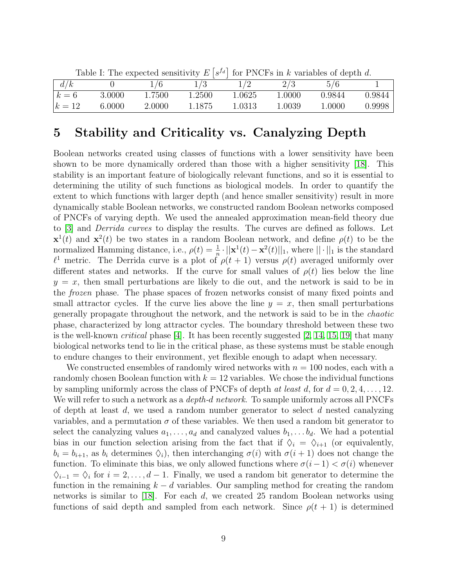| Lable 1. The expected sensitivity $E S^* $ for 1 NOT's in $\kappa$ variables of depth $a$ . |        |        |        |        |        |        |        |  |  |
|---------------------------------------------------------------------------------------------|--------|--------|--------|--------|--------|--------|--------|--|--|
|                                                                                             |        |        |        |        | 2 / 3  | 5/6    |        |  |  |
| $k=6$                                                                                       | 3.0000 | 1.7500 | 1.2500 | 1.0625 | 1.0000 | 0.9844 | 0.9844 |  |  |
| $k=12$                                                                                      | 6.0000 | 2.0000 | 1.1875 | 1.0313 | 1.0039 | 1.0000 | 0.9998 |  |  |

<span id="page-9-1"></span>Table I: The expected sensitivity  $E\left[s^{f_d}\right]$  for PNCFs in k variables of depth d.

# <span id="page-9-0"></span>5 Stability and Criticality vs. Canalyzing Depth

Boolean networks created using classes of functions with a lower sensitivity have been shown to be more dynamically ordered than those with a higher sensitivity [\[18\]](#page-13-1). This stability is an important feature of biologically relevant functions, and so it is essential to determining the utility of such functions as biological models. In order to quantify the extent to which functions with larger depth (and hence smaller sensitivity) result in more dynamically stable Boolean networks, we constructed random Boolean networks composed of PNCFs of varying depth. We used the annealed approximation mean-field theory due to [\[3\]](#page-11-1) and Derrida curves to display the results. The curves are defined as follows. Let  $\mathbf{x}^1(t)$  and  $\mathbf{x}^2(t)$  be two states in a random Boolean network, and define  $\rho(t)$  to be the normalized Hamming distance, i.e.,  $\rho(t) = \frac{1}{n} \cdot ||\mathbf{x}^1(t) - \mathbf{x}^2(t)||_1$ , where  $|| \cdot ||_1$  is the standard  $\ell^1$  metric. The Derrida curve is a plot of  $\rho(t + 1)$  versus  $\rho(t)$  averaged uniformly over different states and networks. If the curve for small values of  $\rho(t)$  lies below the line  $y = x$ , then small perturbations are likely to die out, and the network is said to be in the frozen phase. The phase spaces of frozen networks consist of many fixed points and small attractor cycles. If the curve lies above the line  $y = x$ , then small perturbations generally propagate throughout the network, and the network is said to be in the chaotic phase, characterized by long attractor cycles. The boundary threshold between these two is the well-known *critical* phase [\[4\]](#page-12-10). It has been recently suggested [\[2,](#page-11-2) [14,](#page-12-11) [15,](#page-12-12) [19\]](#page-13-2) that many biological networks tend to lie in the critical phase, as these systems must be stable enough to endure changes to their environment, yet flexible enough to adapt when necessary.

We constructed ensembles of randomly wired networks with  $n = 100$  nodes, each with a randomly chosen Boolean function with  $k = 12$  variables. We chose the individual functions by sampling uniformly across the class of PNCFs of depth at least d, for  $d = 0, 2, 4, \ldots, 12$ . We will refer to such a network as a *depth-d network*. To sample uniformly across all PNCFs of depth at least  $d$ , we used a random number generator to select  $d$  nested canalyzing variables, and a permutation  $\sigma$  of these variables. We then used a random bit generator to select the canalyzing values  $a_1, \ldots, a_d$  and canalyzed values  $b_1, \ldots, b_d$ . We had a potential bias in our function selection arising from the fact that if  $\Diamond_i = \Diamond_{i+1}$  (or equivalently,  $b_i = b_{i+1}$ , as  $b_i$  determines  $\Diamond_i$ , then interchanging  $\sigma(i)$  with  $\sigma(i+1)$  does not change the function. To eliminate this bias, we only allowed functions where  $\sigma(i-1) < \sigma(i)$  whenever  $\diamondsuit_{i-1} = \diamondsuit_i$  for  $i = 2, \ldots, d-1$ . Finally, we used a random bit generator to determine the function in the remaining  $k - d$  variables. Our sampling method for creating the random networks is similar to [\[18\]](#page-13-1). For each  $d$ , we created 25 random Boolean networks using functions of said depth and sampled from each network. Since  $\rho(t + 1)$  is determined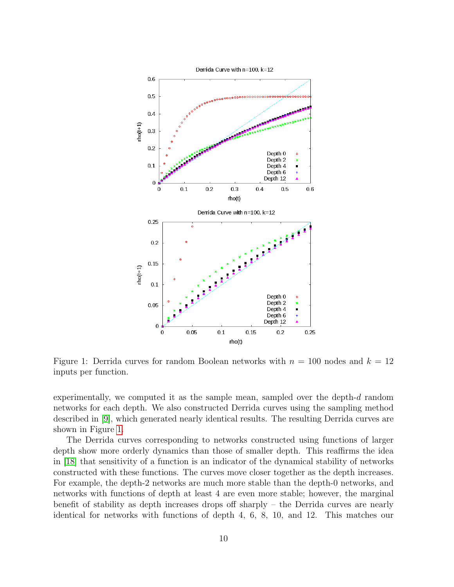

<span id="page-10-0"></span>Figure 1: Derrida curves for random Boolean networks with  $n = 100$  nodes and  $k = 12$ inputs per function.

experimentally, we computed it as the sample mean, sampled over the depth- $d$  random networks for each depth. We also constructed Derrida curves using the sampling method described in [\[9\]](#page-12-13), which generated nearly identical results. The resulting Derrida curves are shown in Figure [1.](#page-10-0)

The Derrida curves corresponding to networks constructed using functions of larger depth show more orderly dynamics than those of smaller depth. This reaffirms the idea in [\[18\]](#page-13-1) that sensitivity of a function is an indicator of the dynamical stability of networks constructed with these functions. The curves move closer together as the depth increases. For example, the depth-2 networks are much more stable than the depth-0 networks, and networks with functions of depth at least 4 are even more stable; however, the marginal benefit of stability as depth increases drops off sharply – the Derrida curves are nearly identical for networks with functions of depth 4, 6, 8, 10, and 12. This matches our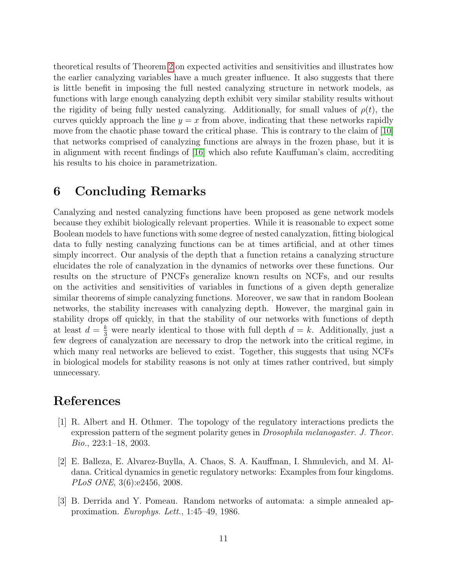theoretical results of Theorem [2](#page-7-3) on expected activities and sensitivities and illustrates how the earlier canalyzing variables have a much greater influence. It also suggests that there is little benefit in imposing the full nested canalyzing structure in network models, as functions with large enough canalyzing depth exhibit very similar stability results without the rigidity of being fully nested canalyzing. Additionally, for small values of  $\rho(t)$ , the curves quickly approach the line  $y = x$  from above, indicating that these networks rapidly move from the chaotic phase toward the critical phase. This is contrary to the claim of [\[10\]](#page-12-4) that networks comprised of canalyzing functions are always in the frozen phase, but it is in alignment with recent findings of [\[16\]](#page-12-9) which also refute Kauffuman's claim, accrediting his results to his choice in parametrization.

### 6 Concluding Remarks

Canalyzing and nested canalyzing functions have been proposed as gene network models because they exhibit biologically relevant properties. While it is reasonable to expect some Boolean models to have functions with some degree of nested canalyzation, fitting biological data to fully nesting canalyzing functions can be at times artificial, and at other times simply incorrect. Our analysis of the depth that a function retains a canalyzing structure elucidates the role of canalyzation in the dynamics of networks over these functions. Our results on the structure of PNCFs generalize known results on NCFs, and our results on the activities and sensitivities of variables in functions of a given depth generalize similar theorems of simple canalyzing functions. Moreover, we saw that in random Boolean networks, the stability increases with canalyzing depth. However, the marginal gain in stability drops off quickly, in that the stability of our networks with functions of depth at least  $d = \frac{k}{3}$  were nearly identical to those with full depth  $d = k$ . Additionally, just a few degrees of canalyzation are necessary to drop the network into the critical regime, in which many real networks are believed to exist. Together, this suggests that using NCFs in biological models for stability reasons is not only at times rather contrived, but simply unnecessary.

### References

- <span id="page-11-0"></span>[1] R. Albert and H. Othmer. The topology of the regulatory interactions predicts the expression pattern of the segment polarity genes in *Drosophila melanogaster. J. Theor.* Bio., 223:1–18, 2003.
- <span id="page-11-2"></span>[2] E. Balleza, E. Alvarez-Buylla, A. Chaos, S. A. Kauffman, I. Shmulevich, and M. Aldana. Critical dynamics in genetic regulatory networks: Examples from four kingdoms. PLoS ONE, 3(6):e2456, 2008.
- <span id="page-11-1"></span>[3] B. Derrida and Y. Pomeau. Random networks of automata: a simple annealed approximation. Europhys. Lett., 1:45–49, 1986.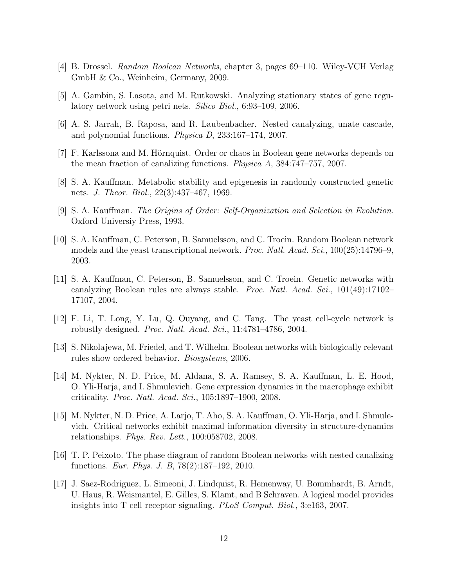- <span id="page-12-10"></span>[4] B. Drossel. Random Boolean Networks, chapter 3, pages 69–110. Wiley-VCH Verlag GmbH & Co., Weinheim, Germany, 2009.
- <span id="page-12-2"></span>[5] A. Gambin, S. Lasota, and M. Rutkowski. Analyzing stationary states of gene regulatory network using petri nets. Silico Biol., 6:93–109, 2006.
- <span id="page-12-8"></span>[6] A. S. Jarrah, B. Raposa, and R. Laubenbacher. Nested canalyzing, unate cascade, and polynomial functions. Physica D, 233:167–174, 2007.
- <span id="page-12-5"></span>[7] F. Karlssona and M. Hörnquist. Order or chaos in Boolean gene networks depends on the mean fraction of canalizing functions. Physica A, 384:747–757, 2007.
- <span id="page-12-0"></span>[8] S. A. Kauffman. Metabolic stability and epigenesis in randomly constructed genetic nets. J. Theor. Biol., 22(3):437–467, 1969.
- <span id="page-12-13"></span>[9] S. A. Kauffman. The Origins of Order: Self-Organization and Selection in Evolution. Oxford Universiy Press, 1993.
- <span id="page-12-4"></span>[10] S. A. Kauffman, C. Peterson, B. Samuelsson, and C. Troein. Random Boolean network models and the yeast transcriptional network. *Proc. Natl. Acad. Sci.*, 100(25):14796–9, 2003.
- <span id="page-12-6"></span>[11] S. A. Kauffman, C. Peterson, B. Samuelsson, and C. Troein. Genetic networks with canalyzing Boolean rules are always stable. Proc. Natl. Acad. Sci., 101(49):17102– 17107, 2004.
- <span id="page-12-3"></span>[12] F. Li, T. Long, Y. Lu, Q. Ouyang, and C. Tang. The yeast cell-cycle network is robustly designed. Proc. Natl. Acad. Sci., 11:4781–4786, 2004.
- <span id="page-12-7"></span>[13] S. Nikolajewa, M. Friedel, and T. Wilhelm. Boolean networks with biologically relevant rules show ordered behavior. Biosystems, 2006.
- <span id="page-12-11"></span>[14] M. Nykter, N. D. Price, M. Aldana, S. A. Ramsey, S. A. Kauffman, L. E. Hood, O. Yli-Harja, and I. Shmulevich. Gene expression dynamics in the macrophage exhibit criticality. Proc. Natl. Acad. Sci., 105:1897–1900, 2008.
- <span id="page-12-12"></span>[15] M. Nykter, N. D. Price, A. Larjo, T. Aho, S. A. Kauffman, O. Yli-Harja, and I. Shmulevich. Critical networks exhibit maximal information diversity in structure-dynamics relationships. Phys. Rev. Lett., 100:058702, 2008.
- <span id="page-12-9"></span>[16] T. P. Peixoto. The phase diagram of random Boolean networks with nested canalizing functions. Eur. Phys. J. B, 78(2):187–192, 2010.
- <span id="page-12-1"></span>[17] J. Saez-Rodriguez, L. Simeoni, J. Lindquist, R. Hemenway, U. Bommhardt, B. Arndt, U. Haus, R. Weismantel, E. Gilles, S. Klamt, and B Schraven. A logical model provides insights into T cell receptor signaling. PLoS Comput. Biol., 3:e163, 2007.